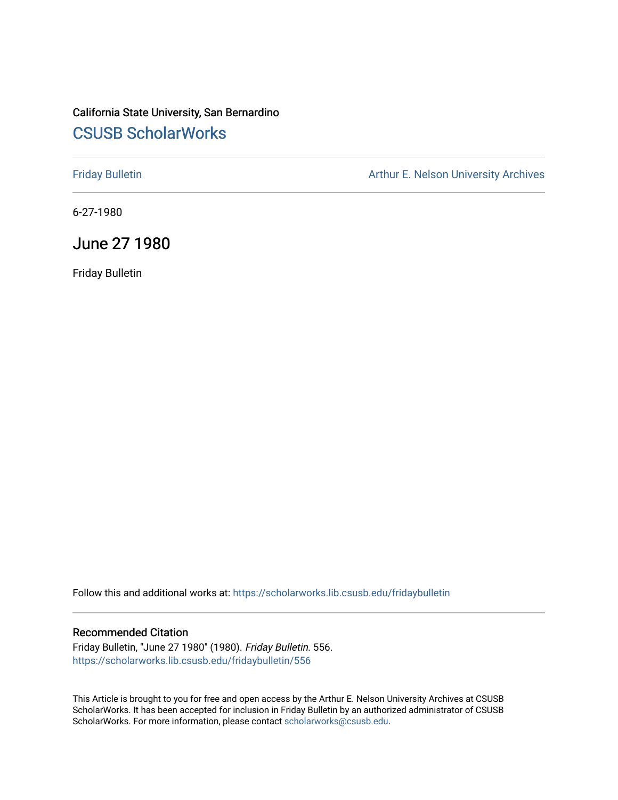# California State University, San Bernardino [CSUSB ScholarWorks](https://scholarworks.lib.csusb.edu/)

[Friday Bulletin](https://scholarworks.lib.csusb.edu/fridaybulletin) **Arthur E. Nelson University Archives** Arthur E. Nelson University Archives

6-27-1980

# June 27 1980

Friday Bulletin

Follow this and additional works at: [https://scholarworks.lib.csusb.edu/fridaybulletin](https://scholarworks.lib.csusb.edu/fridaybulletin?utm_source=scholarworks.lib.csusb.edu%2Ffridaybulletin%2F556&utm_medium=PDF&utm_campaign=PDFCoverPages)

## Recommended Citation

Friday Bulletin, "June 27 1980" (1980). Friday Bulletin. 556. [https://scholarworks.lib.csusb.edu/fridaybulletin/556](https://scholarworks.lib.csusb.edu/fridaybulletin/556?utm_source=scholarworks.lib.csusb.edu%2Ffridaybulletin%2F556&utm_medium=PDF&utm_campaign=PDFCoverPages)

This Article is brought to you for free and open access by the Arthur E. Nelson University Archives at CSUSB ScholarWorks. It has been accepted for inclusion in Friday Bulletin by an authorized administrator of CSUSB ScholarWorks. For more information, please contact [scholarworks@csusb.edu.](mailto:scholarworks@csusb.edu)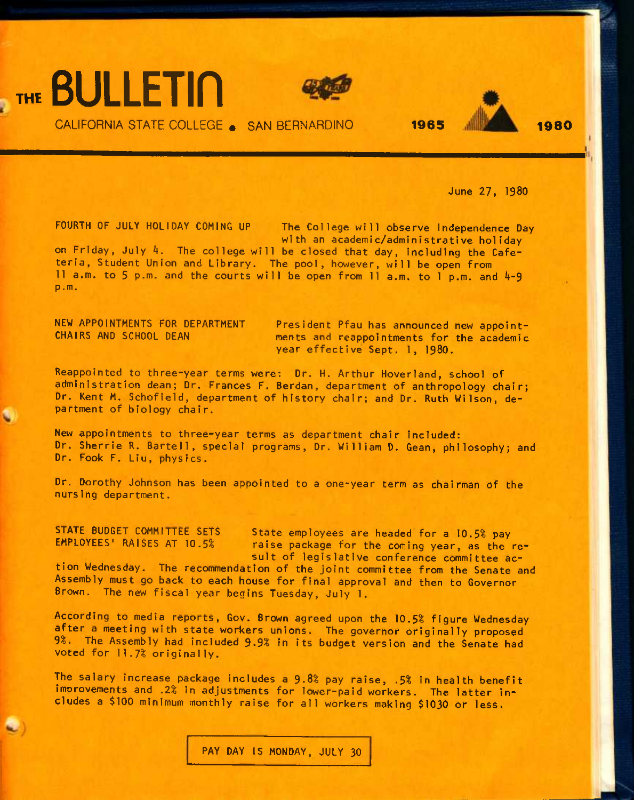



CALIFORNIA STATE COLLEGE • SAN BERNARDINO **1965 1980** 



June 27, 1980

FOURTH OF JULY HOLIDAY COMING UP The College will observe Independence Day with an academic/administrative holiday

on Friday, July 4. The college will be closed that day, including the Cafeteria, Student Union and Library. The pool, however, will be open from 11 a.m. to 5 p.m. and the courts will be open from 11 a.m. to 1 p.m. and  $4-9$ p.m.

NEW APPOINTMENTS FOR DEPARTMENT President Pfau has announced new appoint-<br>CHAIRS AND SCHOOL DEAN ments and reappointments for the academic ments and reappointments for the academic year effective Sept. 1, 1980.

Reappointed to three-year terms were; Dr. H. Arthur Hoverland, school of administration dean; Dr. Frances F. Berdan, department of anthropology chair; Dr. Kent M. Schofield, department of history chair; and Dr. Ruth Wilson, department of biology chair.

New appointments to three-year terms as department chair included: Dr. Sherrie R. Bartell, special programs, Dr. William D. Gean, philosophy; and Dr. Fook F. Liu, physics.

Dr. Dorothy Johnson has been appointed to a one-year term as chairman of the nursing department.

STATE BUDGET COMMITTEE SETS State employees are headed for a 10.5% pay<br>EMPLOYEES' RAISES AT 10.5% raise package for the coming year, as the r raise package for the coming year, as the result of legislative conference committee ac-

tion Wednesday. The recommendation of the joint committee from the Senate and Assembly must go back to each house for final approval and then to Governor Brown. The new fiscal year begins Tuesday, July 1.

According to media reports, Gov. Brown agreed upon the 10.5% figure Wednesday after a meeting with state workers unions. The governor originally proposed 3%. The Assembly had included 3.3% in its budget version and the Senate had voted for 11.7% originally.

The salary increase package includes a 9.8% pay raise, .5% in health benefit improvements and *.2%* in adjustments for lower-paid workers. The latter includes a \$100 minimum monthly raise for all workers making \$1030 or less.

PAY DAY IS MONDAY, JULY 30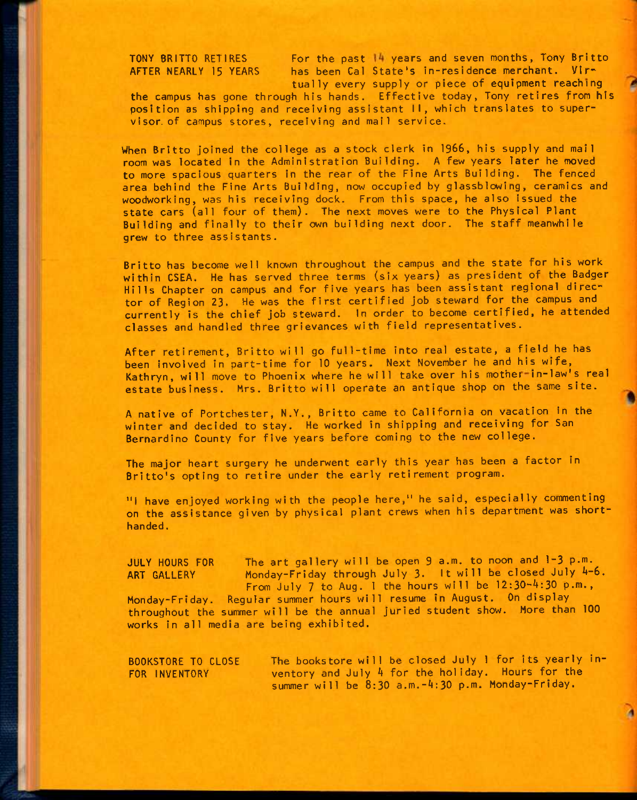TONY BRITTO RETIRES For the past 14 years and seven months, Tony Britto AFTER NEARLY 15 YEARS has been Cal State's in-residence merchant. Virtually every supply or piece of equipment reaching

the campus has gone through his hands. Effective today, Tony retires from his position as shipping and receiving assistant II, which translates to supervisor, of campus stores, receiving and mail service.

When Britto joined the college as a stock clerk in 1966, his supply and mail room was located in the Administration Building. A few years later he moved to more spacious quarters in the rear of the Fine Arts Building. The fenced area behind the Fine Arts Building, now occupied by glassblowing, ceramics and woodworking, was his receiving dock. From this space, he also issued the state cars (all four of them). The next moves were to the Physical Plant Building and finally to their own building next door. The staff meanwhile grew to three assistants.

Britto has become well known throughout the campus and the state for his work within CSEA, He has served three terms (six years) as president of the Badger Hills Chapter on campus and for five years has been assistant regional director of Region 23. He was the first certified Job steward for the campus and currently is the chief job steward. In order to become certified, he attended classes and handled three grievances with field representatives.

After retirement, Britto will go full-time into real estate, a field he has been involved in part-time for 10 years. Next November he and his wife, Kathryn, will move to Phoenix where he will take over his mother-in-law's real estate business. Mrs. Britto will operate an antique shop on the same site.

A native of Portchester, N.Y,, Britto came to California on vacation in the winter and decided to stay. He worked in shipping and receiving for San Bernardino County for five years before coming to the new college.

The major heart surgery he underwent early this year has been a factor in Britto's opting to retire under the early retirement program.

"I have enjoyed working with the people here," he said, especially commenting on the assistance given by physical plant crews when his department was shorthanded .

JULY HOURS FOR The art gallery will be open 9 a.m. to noon and 1-3 p.m. ART GALLERY Monday-Friday through July 3. It will be closed July 4-6. From July 7 to Aug. 1 the hours will be 12:30-4:30 p.m., Monday-Friday. Regular summer hours will resume in August. On display throughout the surmner will be the annual juried student show. More than 100 works in all media are being exhibited.

BOOKSTORE TO CLOSE FOR INVENTORY The bookstore will be closed July 1 for its yearly inventory and July 4 for the holiday. Hours for the summer will be 8:30 a.m.-4:30 p.m. Monday-Friday.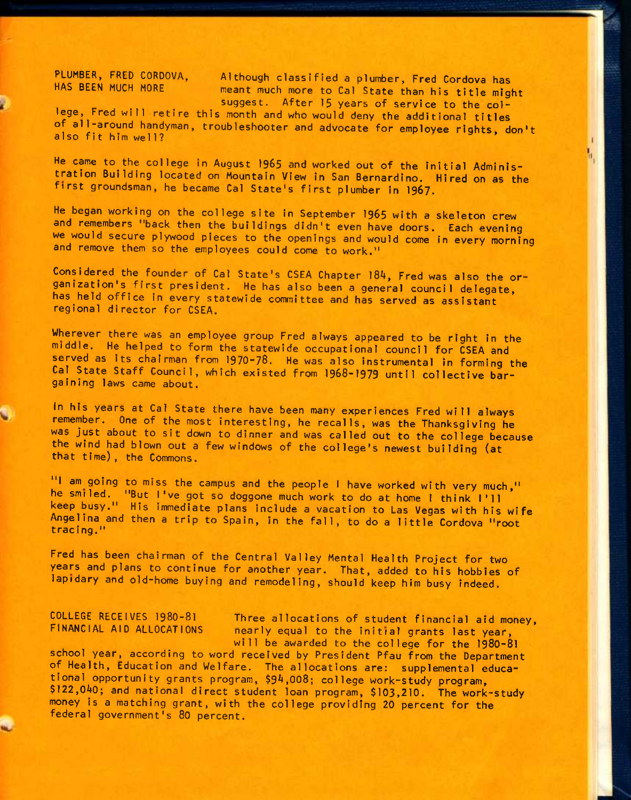PLUMBER, FRED CORDOVA, Although classified a plumber, Fred Cordova has<br>HAS BEEN MUCH MORE meant much more to Cal State that his side at meant much more to Cal State than his title might suggest. After 15 years of service to the col-

J.

lege, Fred will retire this month and who would deny the additional titles of all-around handyman, troubleshooter and advocate for employee rights, don't alsofithimwell? ^ \*

He came to the college in August 1965 and worked out of the initial Administration Building located on Mountain View in San Bernardino. Hired on as the first groundsman, he became Cal State's first plumber in 1967.

He began working on the college site in September 1965 with a skeleton crew and remembers "back then the buildings didn't even have doors. Each evening we would secure plywood pieces to the openings and would come in every morning and remove them so the employees could come to work."

Considered the founder of Cal State's CSEA Chapter 184, Fred was also the organization's first president. He has also been a general council delegate, has held office in every statewide committee and has served as assistant regional director for CSEA,

Wherever there was an employee group Fred always appeared to be right in the middle. He helped to form the statewide occupational council for CSEA and served as its chairman from 1970-78. He was also instrumental in forming the Cal State Staff Council, which existed from 1968-1979 until collective bargaining laws came about.

In his years at Cal State there have been many experiences Fred will always remember. One of the most interesting, he recalls, was the Thanksgiving he was just about to sit down to dinner and was called out to the college because the wind had blown out a few windows of the college's newest building (at that time), the Commons.

"I am going to miss the campus and the people I have worked with very much," he smiled. "But I've got so doggone much work to do at home I think I'll keep busy." His immediate plans include a vacation to Las Vegas with his wife Angelina and then a trip to Spain, in the fall, to do a little Cordova "root tracing."

Fred has been chairman of the Central Valley Mental Health Project for two years and plans to continue for another year. That, added to his hobbies of lapidary and old-home buying and remodeling, should keep him busy indeed.

COLLEGE RECEIVES 1980-81 Three allocations of student financial aid money,<br>Financial AID ALLOCATIONS nearly equal to the initial grants last year nearly equal to the initial grants last year, will be awarded to the college for the 1980-81

school year, according to word received by President Pfau from the Department of Health, Education and Welfare. The allocations are: supplemental educational opportunity grants program, \$9A,008; college work-study program, \$122,040; and national direct student loan program, \$103,210. The work-study money is a matching grant, with the college providing 20 percent for the federal government's 80 percent.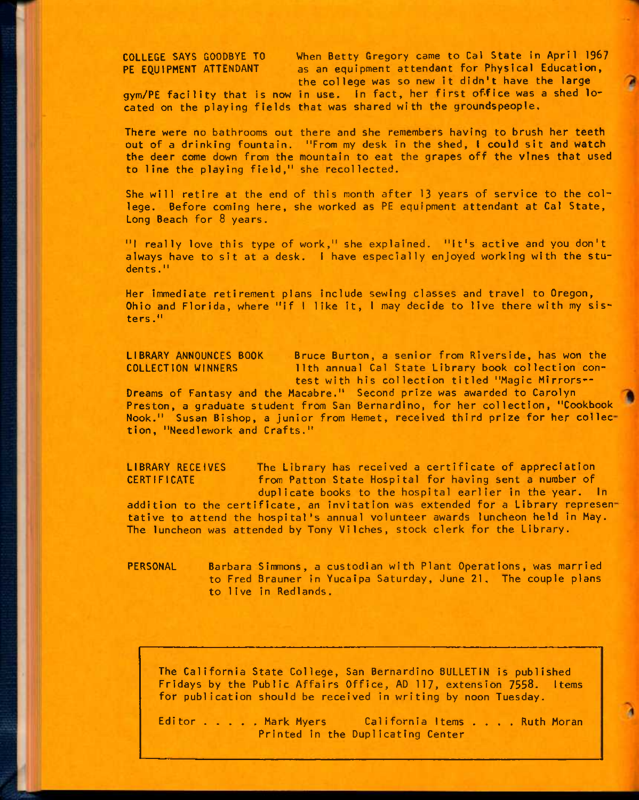COLLEGE SAYS GOODBYE TO When Betty Gregory came to Gal State in April 1967 PE EOUIPMENT ATTENDANT as an equipment attendant for Physical Education, the college was so new it didn't have the large gym/PE facility that is now in use. In fact, her first office was a shed lo-

cated on the playing fields that was shared with the groundspeople.

There were no bathrooms out there and she remembers having to brush her teeth out of a drinking fountain. "From my desk in the shed, I could sit and watch the deer come dwn from the mountain to eat the grapes off the vines that used to line the playing field," she recollected.

She will retire at the end of this month after 13 years of service to the college. Before coming here, she worked as PE equipment attendant at Cal State, Long Beach for 8 years.

"I really love this type of work," she explained. "It's active and you don't always have to sit at a desk. I have especially enjoyed working with the students."

Her immediate retirement plans include sewing classes and travel to Oregon, Ohio and Florida, where "if I like it, I may decide to live there with my sisters."

LIBRARY ANNOUNCES BOOK Bruce Burton, a senior from Riverside, has won the COLLECTION WINNERS 11th annual Cal State Library book collection contest with his collection titled "Magic Mirrors--

Dreams of Fantasy and the Macabre." Second prize was awarded to Carolyn Preston, a graduate student from San Bernardino, for her collection, "Cookbook Nook." Susan Bishop, a junior from Hemet, received third prize for her collection, "Needlework and Crafts."

LIBRARY RECEIVES The Library has received a certificate of appreciation CERTIFICATE from Patton State Hospital for having sent a number of duplicate books to the hospital earlier in the year. In

addition to the certificate, an invitation was extended for a Library represen tative to attend the hospital's annual volunteer awards luncheon held in May. The luncheon was attended by Tony Vilches, stock clerk for the Library.

PERSONAL Barbara Simmons, a custodian with Plant Operations, was married to Fred Brauner in Yucaipa Saturday, June 21, The couple plans to 1ive in Redlands.

The California State College, San Bernardino BULLETIN is published Fridays by the Public Affairs Office, AD 117, extension 7558. items for publication should be received in writing by noon Tuesday.

Editor . . . . Mark Myers California Items . . . . Ruth Moran Printed in the Duplicating Center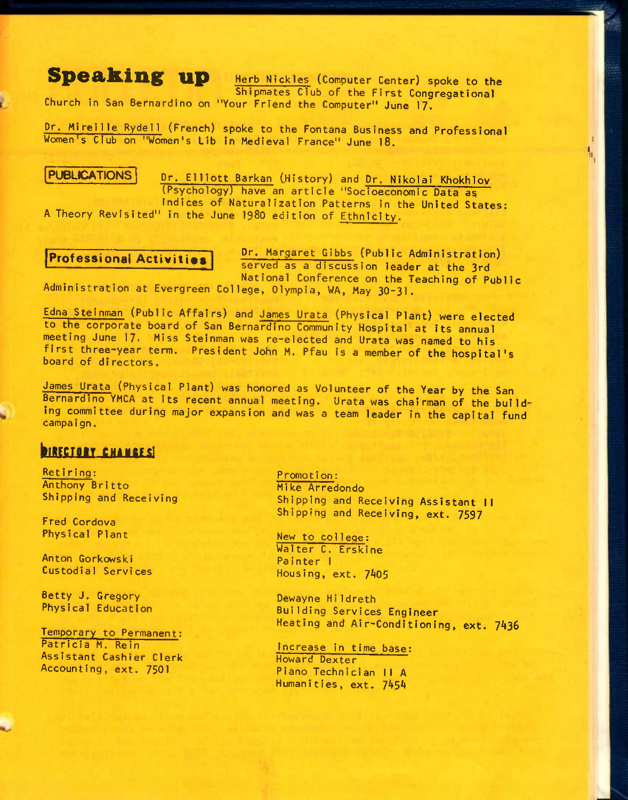# **Speaking up** Herb Nickles (Computer Center) spoke to the Shipmates Club of the First Congregational

Church in San Bernardino on "Your Friend the Computer" June 17.

Dr. Mireille Rydell (French) spoke to the Fontana Business and Professional Women's Club on "Women's Lib in Medieval France" June 18.

PUBLICATIONS Dr. Elliott Barkan (History) and Dr. Nikolai Khokhlov (Psychology) have an article "Socioeconomic Data as indices of Naturalization Patterns in the United States:

A Theory Revisited" in the June I98O edition of Ethnici ty.

Professional Activities **Dr. Margaret Gibbs** (Public Administration) served as a discussion leader at the 3rd National Conference on the Teaching of Public

Administration at Evergreen College, Olympia, WA, May 3O-3I.

Edna Steinman (Public Affairs) and James Urata (Physical Plant) were elected to the corporate board of San Bernardino Community Hospital at Its annual meeting June 17. Miss Steinman was re-elected and Urata was named to his first three-year term. President John M. Pfau is a member of the hospital's board of directors.

James Urata (Physical Plant) was honored as Volunteer of the Year by the San Bernardino YMCA at its recent annual meeting. Urata was chairman of the building committee during major expansion and was a team leader in the capital fund campaign.

## **DIRECTORY CHANGES!**

Retiring: Anthony Britto Shipping and Receiving

Fred Cordova Physical Plant

Anton Gorkowski Custodial Services

Betty J. Gregory Physical Education

Temporary to Permanent: Patricia M. Rein Assistant Cashier Clerk Accounting, ext. 7501

#### Promot i on:

Mike Arredondo Shipping and Receiving Assistant II Shipping and Receiving, ext. 7597

New to college: Walter C. Erskine Painter I Housing, ext. 7A05

Dewayne Hildreth Building Services Engineer Heating and Air-Conditioning, ext. 7436

Increase in time base: Howard Dexter Piano Technician II A Humanities, ext. 7454